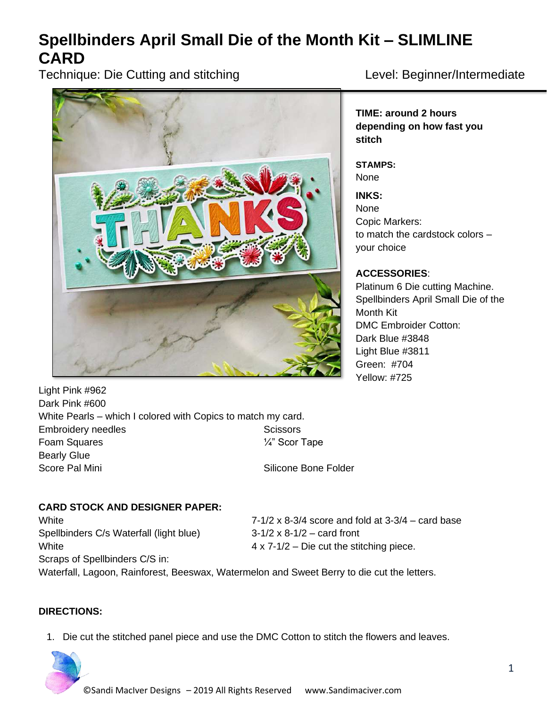# **Spellbinders April Small Die of the Month Kit – SLIMLINE CARD**

Technique: Die Cutting and stitching Level: Beginner/Intermediate



**TIME: around 2 hours depending on how fast you stitch**

**STAMPS:** None

**INKS:** None Copic Markers: to match the cardstock colors – your choice

# **ACCESSORIES**:

Platinum 6 Die cutting Machine. Spellbinders April Small Die of the Month Kit DMC Embroider Cotton: Dark Blue #3848 Light Blue #3811 Green: #704 Yellow: #725

Light Pink #962 Dark Pink #600 White Pearls – which I colored with Copics to match my card. Embroidery needles Scissors Scissors Foam Squares  $\frac{1}{4}$ " Scor Tape Bearly Glue Score Pal Mini Score Pal Mini Silicone Bone Folder

# **CARD STOCK AND DESIGNER PAPER:**

Spellbinders C/s Waterfall (light blue) 3-1/2 x 8-1/2 – card front White **4 x 7-1/2** – Die cut the stitching piece. Scraps of Spellbinders C/S in:

White  $7-1/2 \times 8-3/4$  score and fold at  $3-3/4$  – card base

Waterfall, Lagoon, Rainforest, Beeswax, Watermelon and Sweet Berry to die cut the letters.

# **DIRECTIONS:**

1. Die cut the stitched panel piece and use the DMC Cotton to stitch the flowers and leaves.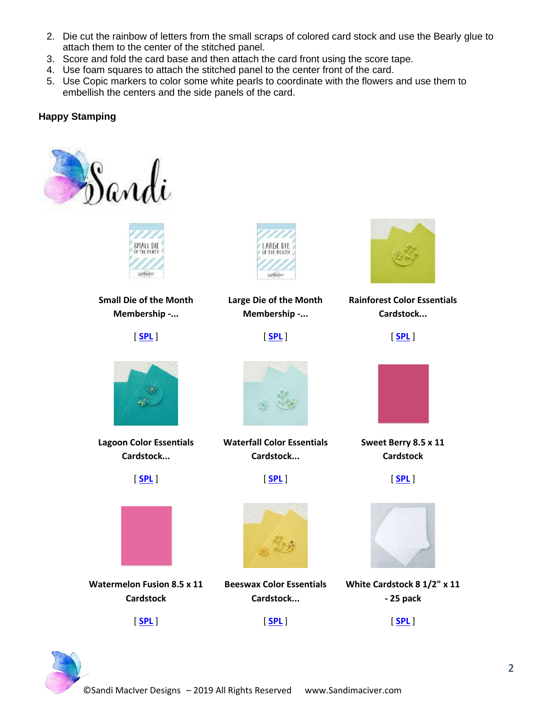- 2. Die cut the rainbow of letters from the small scraps of colored card stock and use the Bearly glue to attach them to the center of the stitched panel.
- 3. Score and fold the card base and then attach the card front using the score tape.
- 4. Use foam squares to attach the stitched panel to the center front of the card.
- 5. Use Copic markers to color some white pearls to coordinate with the flowers and use them to embellish the centers and the side panels of the card.

# **Happy Stamping**





**Small Die of the Month Membership -...**

[ **[SPL](https://ldli.co/e/jn9jzp)** ]



**Large Die of the Month Membership -...**

[ **[SPL](https://ldli.co/e/g9rmlj)** ]



**Rainforest Color Essentials Cardstock...**

[ **[SPL](https://ldli.co/e/yd425k)** ]



**Lagoon Color Essentials Cardstock...**





**Watermelon Fusion 8.5 x 11 Cardstock**





**Waterfall Color Essentials Cardstock...**

[ **[SPL](https://ldli.co/e/rmpke1)** ]



**Beeswax Color Essentials Cardstock...**





**Sweet Berry 8.5 x 11 Cardstock**

[ **[SPL](https://ldli.co/e/o23d61)** ]

**White Cardstock 8 1/2" x 11 - 25 pack**

[ **[SPL](https://ldli.co/e/10kz57)** ]